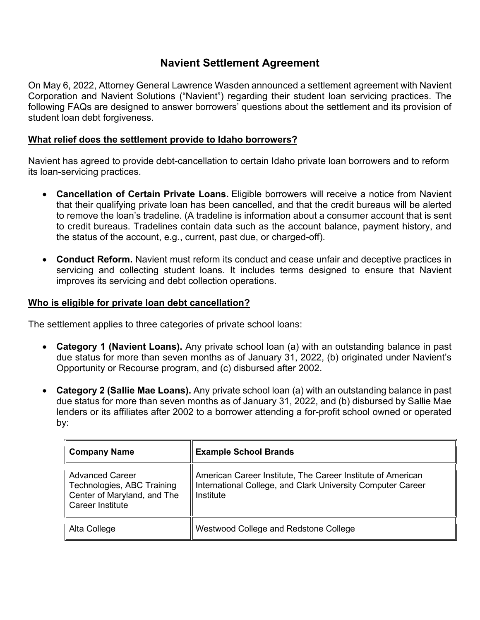# **Navient Settlement Agreement**

On May 6, 2022, Attorney General Lawrence Wasden announced a settlement agreement with Navient Corporation and Navient Solutions ("Navient") regarding their student loan servicing practices. The following FAQs are designed to answer borrowers' questions about the settlement and its provision of student loan debt forgiveness.

# **What relief does the settlement provide to Idaho borrowers?**

Navient has agreed to provide debt-cancellation to certain Idaho private loan borrowers and to reform its loan-servicing practices.

- **Cancellation of Certain Private Loans.** Eligible borrowers will receive a notice from Navient that their qualifying private loan has been cancelled, and that the credit bureaus will be alerted to remove the loan's tradeline. (A tradeline is information about a consumer account that is sent to credit bureaus. Tradelines contain data such as the account balance, payment history, and the status of the account, e.g., current, past due, or charged-off).
- **Conduct Reform.** Navient must reform its conduct and cease unfair and deceptive practices in servicing and collecting student loans. It includes terms designed to ensure that Navient improves its servicing and debt collection operations.

### **Who is eligible for private loan debt cancellation?**

The settlement applies to three categories of private school loans:

- **Category 1 (Navient Loans).** Any private school loan (a) with an outstanding balance in past due status for more than seven months as of January 31, 2022, (b) originated under Navient's Opportunity or Recourse program, and (c) disbursed after 2002.
- **Category 2 (Sallie Mae Loans).** Any private school loan (a) with an outstanding balance in past due status for more than seven months as of January 31, 2022, and (b) disbursed by Sallie Mae lenders or its affiliates after 2002 to a borrower attending a for-profit school owned or operated by:

| Company Name                                                                                       | <b>Example School Brands</b>                                                                                                            |
|----------------------------------------------------------------------------------------------------|-----------------------------------------------------------------------------------------------------------------------------------------|
| l Advanced Career<br>Technologies, ABC Training<br>Center of Maryland, and The<br>Career Institute | American Career Institute, The Career Institute of American<br>International College, and Clark University Computer Career<br>Institute |
| Alta College                                                                                       | Westwood College and Redstone College                                                                                                   |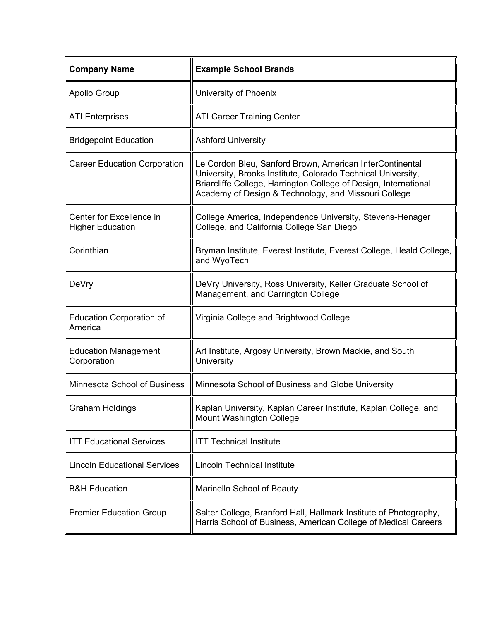| <b>Company Name</b>                                 | <b>Example School Brands</b>                                                                                                                                                                                                                         |
|-----------------------------------------------------|------------------------------------------------------------------------------------------------------------------------------------------------------------------------------------------------------------------------------------------------------|
| <b>Apollo Group</b>                                 | University of Phoenix                                                                                                                                                                                                                                |
| <b>ATI Enterprises</b>                              | <b>ATI Career Training Center</b>                                                                                                                                                                                                                    |
| <b>Bridgepoint Education</b>                        | <b>Ashford University</b>                                                                                                                                                                                                                            |
| <b>Career Education Corporation</b>                 | Le Cordon Bleu, Sanford Brown, American InterContinental<br>University, Brooks Institute, Colorado Technical University,<br>Briarcliffe College, Harrington College of Design, International<br>Academy of Design & Technology, and Missouri College |
| Center for Excellence in<br><b>Higher Education</b> | College America, Independence University, Stevens-Henager<br>College, and California College San Diego                                                                                                                                               |
| Corinthian                                          | Bryman Institute, Everest Institute, Everest College, Heald College,<br>and WyoTech                                                                                                                                                                  |
| DeVry                                               | DeVry University, Ross University, Keller Graduate School of<br>Management, and Carrington College                                                                                                                                                   |
| <b>Education Corporation of</b><br>America          | Virginia College and Brightwood College                                                                                                                                                                                                              |
| <b>Education Management</b><br>Corporation          | Art Institute, Argosy University, Brown Mackie, and South<br>University                                                                                                                                                                              |
| Minnesota School of Business                        | Minnesota School of Business and Globe University                                                                                                                                                                                                    |
| <b>Graham Holdings</b>                              | Kaplan University, Kaplan Career Institute, Kaplan College, and<br>Mount Washington College                                                                                                                                                          |
| <b>ITT Educational Services</b>                     | <b>ITT Technical Institute</b>                                                                                                                                                                                                                       |
| <b>Lincoln Educational Services</b>                 | <b>Lincoln Technical Institute</b>                                                                                                                                                                                                                   |
| <b>B&amp;H Education</b>                            | Marinello School of Beauty                                                                                                                                                                                                                           |
| <b>Premier Education Group</b>                      | Salter College, Branford Hall, Hallmark Institute of Photography,<br>Harris School of Business, American College of Medical Careers                                                                                                                  |